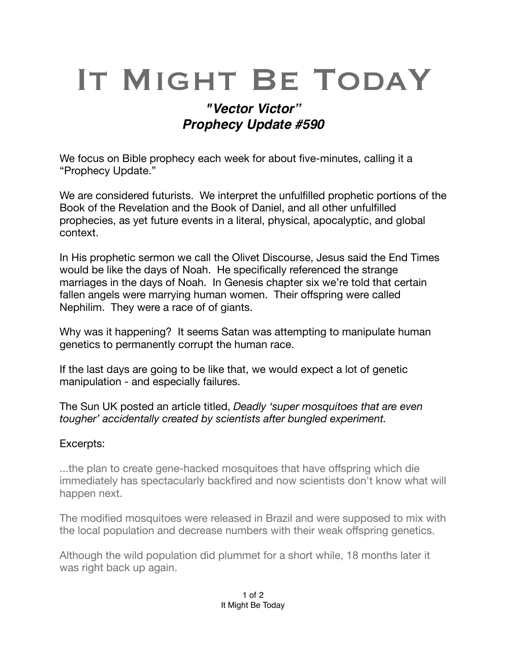## IT MIGHT BE TODAY

## *"Vector Victor" Prophecy Update #590*

We focus on Bible prophecy each week for about five-minutes, calling it a "Prophecy Update."

We are considered futurists. We interpret the unfulfilled prophetic portions of the Book of the Revelation and the Book of Daniel, and all other unfulfilled prophecies, as yet future events in a literal, physical, [apocalyptic,](https://en.m.wikipedia.org/wiki/Apocalypticism) and global context.

In His prophetic sermon we call the Olivet Discourse, Jesus said the End Times would be like the days of Noah. He specifically referenced the strange marriages in the days of Noah. In Genesis chapter six we're told that certain fallen angels were marrying human women. Their offspring were called Nephilim. They were a race of of giants.

Why was it happening? It seems Satan was attempting to manipulate human genetics to permanently corrupt the human race.

If the last days are going to be like that, we would expect a lot of genetic manipulation - and especially failures.

The Sun UK posted an article titled, *Deadly 'super mosquitoes that are even tougher' accidentally created by scientists after bungled experiment.* 

## Excerpts:

...the plan to create gene-hacked mosquitoes that have offspring which die immediately has spectacularly backfired and now scientists don't know what will happen next.

The modified mosquitoes were released in Brazil and were supposed to mix with the local population and decrease numbers with their weak offspring genetics.

Although the wild population did plummet for a short while, 18 months later it was right back up again.